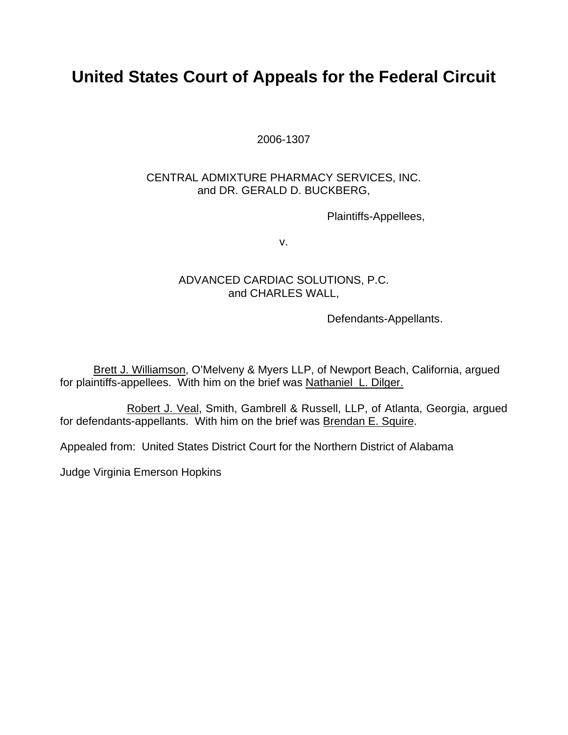# **United States Court of Appeals for the Federal Circuit**

2006-1307

## CENTRAL ADMIXTURE PHARMACY SERVICES, INC. and DR. GERALD D. BUCKBERG,

Plaintiffs-Appellees,

v.

## ADVANCED CARDIAC SOLUTIONS, P.C. and CHARLES WALL,

Defendants-Appellants.

Brett J. Williamson, O'Melveny & Myers LLP, of Newport Beach, California, argued for plaintiffs-appellees. With him on the brief was Nathaniel L. Dilger.

 Robert J. Veal, Smith, Gambrell & Russell, LLP, of Atlanta, Georgia, argued for defendants-appellants. With him on the brief was Brendan E. Squire.

Appealed from: United States District Court for the Northern District of Alabama

Judge Virginia Emerson Hopkins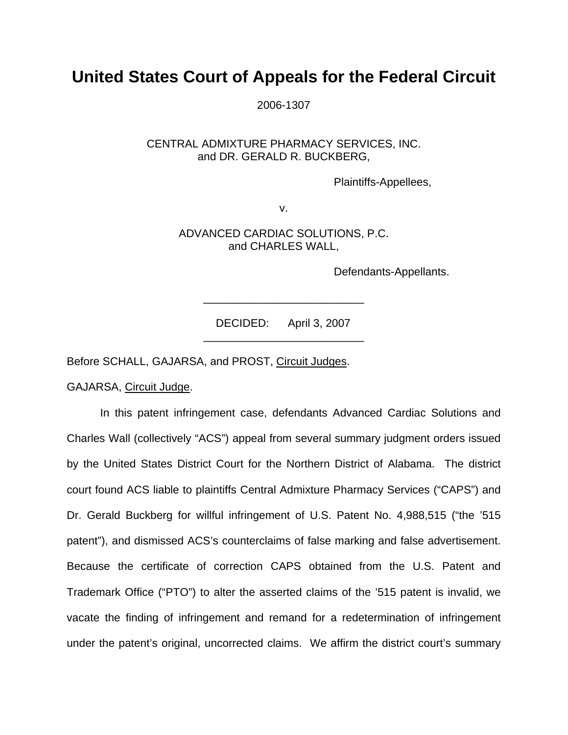## **United States Court of Appeals for the Federal Circuit**

2006-1307

CENTRAL ADMIXTURE PHARMACY SERVICES, INC. and DR. GERALD R. BUCKBERG,

Plaintiffs-Appellees,

v.

ADVANCED CARDIAC SOLUTIONS, P.C. and CHARLES WALL,

Defendants-Appellants.

 DECIDED: April 3, 2007 \_\_\_\_\_\_\_\_\_\_\_\_\_\_\_\_\_\_\_\_\_\_\_\_\_\_

\_\_\_\_\_\_\_\_\_\_\_\_\_\_\_\_\_\_\_\_\_\_\_\_\_\_

Before SCHALL, GAJARSA, and PROST, Circuit Judges.

GAJARSA, Circuit Judge.

 In this patent infringement case, defendants Advanced Cardiac Solutions and Charles Wall (collectively "ACS") appeal from several summary judgment orders issued by the United States District Court for the Northern District of Alabama. The district court found ACS liable to plaintiffs Central Admixture Pharmacy Services ("CAPS") and Dr. Gerald Buckberg for willful infringement of U.S. Patent No. 4,988,515 ("the '515 patent"), and dismissed ACS's counterclaims of false marking and false advertisement. Because the certificate of correction CAPS obtained from the U.S. Patent and Trademark Office ("PTO") to alter the asserted claims of the '515 patent is invalid, we vacate the finding of infringement and remand for a redetermination of infringement under the patent's original, uncorrected claims. We affirm the district court's summary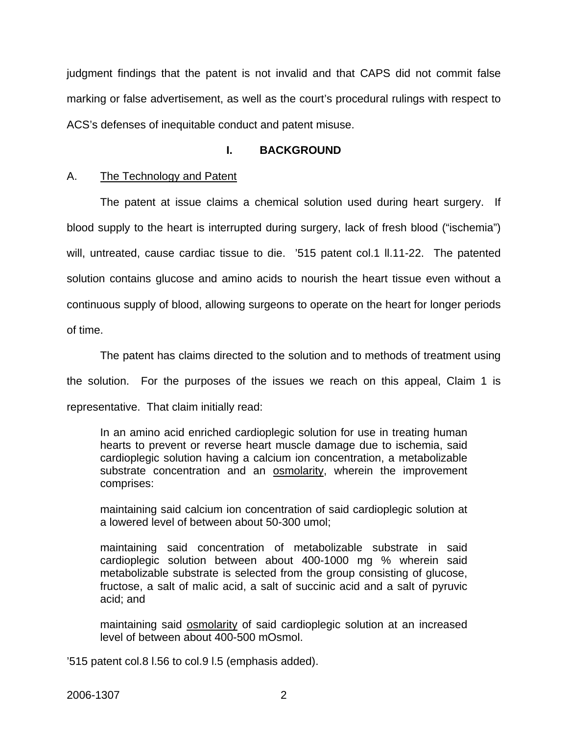judgment findings that the patent is not invalid and that CAPS did not commit false marking or false advertisement, as well as the court's procedural rulings with respect to ACS's defenses of inequitable conduct and patent misuse.

## **I. BACKGROUND**

## A. The Technology and Patent

 The patent at issue claims a chemical solution used during heart surgery. If blood supply to the heart is interrupted during surgery, lack of fresh blood ("ischemia") will, untreated, cause cardiac tissue to die. '515 patent col.1 II.11-22. The patented solution contains glucose and amino acids to nourish the heart tissue even without a continuous supply of blood, allowing surgeons to operate on the heart for longer periods of time.

 The patent has claims directed to the solution and to methods of treatment using the solution. For the purposes of the issues we reach on this appeal, Claim 1 is representative. That claim initially read:

In an amino acid enriched cardioplegic solution for use in treating human hearts to prevent or reverse heart muscle damage due to ischemia, said cardioplegic solution having a calcium ion concentration, a metabolizable substrate concentration and an osmolarity, wherein the improvement comprises:

maintaining said calcium ion concentration of said cardioplegic solution at a lowered level of between about 50-300 umol;

maintaining said concentration of metabolizable substrate in said cardioplegic solution between about 400-1000 mg % wherein said metabolizable substrate is selected from the group consisting of glucose, fructose, a salt of malic acid, a salt of succinic acid and a salt of pyruvic acid; and

maintaining said **osmolarity** of said cardioplegic solution at an increased level of between about 400-500 mOsmol.

'515 patent col.8 l.56 to col.9 l.5 (emphasis added).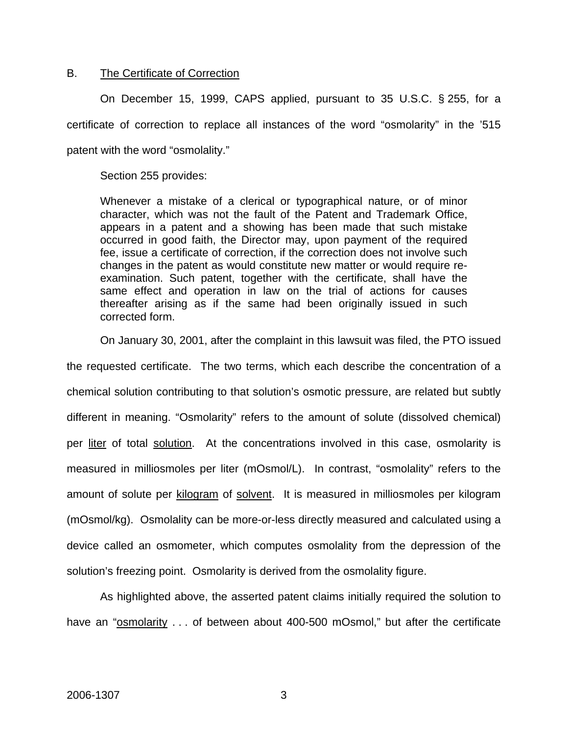#### B. The Certificate of Correction

 On December 15, 1999, CAPS applied, pursuant to 35 U.S.C. § 255, for a certificate of correction to replace all instances of the word "osmolarity" in the '515 patent with the word "osmolality."

Section 255 provides:

Whenever a mistake of a clerical or typographical nature, or of minor character, which was not the fault of the Patent and Trademark Office, appears in a patent and a showing has been made that such mistake occurred in good faith, the Director may, upon payment of the required fee, issue a certificate of correction, if the correction does not involve such changes in the patent as would constitute new matter or would require reexamination. Such patent, together with the certificate, shall have the same effect and operation in law on the trial of actions for causes thereafter arising as if the same had been originally issued in such corrected form.

On January 30, 2001, after the complaint in this lawsuit was filed, the PTO issued

the requested certificate. The two terms, which each describe the concentration of a chemical solution contributing to that solution's osmotic pressure, are related but subtly different in meaning. "Osmolarity" refers to the amount of solute (dissolved chemical) per liter of total solution. At the concentrations involved in this case, osmolarity is measured in milliosmoles per liter (mOsmol/L). In contrast, "osmolality" refers to the amount of solute per kilogram of solvent. It is measured in milliosmoles per kilogram (mOsmol/kg). Osmolality can be more-or-less directly measured and calculated using a device called an osmometer, which computes osmolality from the depression of the solution's freezing point. Osmolarity is derived from the osmolality figure.

 As highlighted above, the asserted patent claims initially required the solution to have an "**osmolarity** . . . of between about 400-500 mOsmol," but after the certificate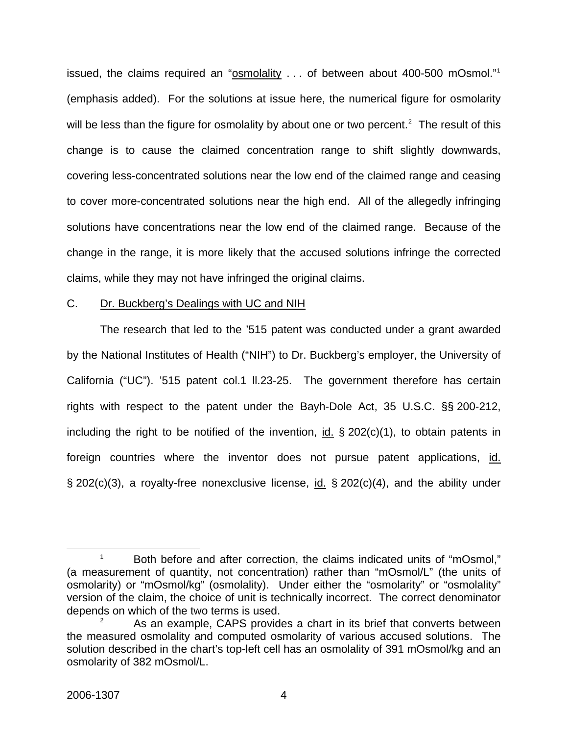issued, the claims required an "osmolality . . . of between about 400-500 mOsmol."<sup>[1](#page-4-0)</sup> (emphasis added). For the solutions at issue here, the numerical figure for osmolarity will be less than the figure for osmolality by about one or two percent.<sup>[2](#page-4-1)</sup> The result of this change is to cause the claimed concentration range to shift slightly downwards, covering less-concentrated solutions near the low end of the claimed range and ceasing to cover more-concentrated solutions near the high end. All of the allegedly infringing solutions have concentrations near the low end of the claimed range. Because of the change in the range, it is more likely that the accused solutions infringe the corrected claims, while they may not have infringed the original claims.

#### C. Dr. Buckberg's Dealings with UC and NIH

 The research that led to the '515 patent was conducted under a grant awarded by the National Institutes of Health ("NIH") to Dr. Buckberg's employer, the University of California ("UC"). '515 patent col.1 ll.23-25. The government therefore has certain rights with respect to the patent under the Bayh-Dole Act, 35 U.S.C. §§ 200-212, including the right to be notified of the invention, id.  $\S 202(c)(1)$ , to obtain patents in foreign countries where the inventor does not pursue patent applications, id.  $\S$  202(c)(3), a royalty-free nonexclusive license, id.  $\S$  202(c)(4), and the ability under

<span id="page-4-0"></span> $\overline{\phantom{a}}$  1 <sup>1</sup> Both before and after correction, the claims indicated units of "mOsmol," (a measurement of quantity, not concentration) rather than "mOsmol/L" (the units of osmolarity) or "mOsmol/kg" (osmolality). Under either the "osmolarity" or "osmolality" version of the claim, the choice of unit is technically incorrect. The correct denominator depends on which of the two terms is used.

<span id="page-4-1"></span><sup>2</sup> As an example, CAPS provides a chart in its brief that converts between the measured osmolality and computed osmolarity of various accused solutions. The solution described in the chart's top-left cell has an osmolality of 391 mOsmol/kg and an osmolarity of 382 mOsmol/L.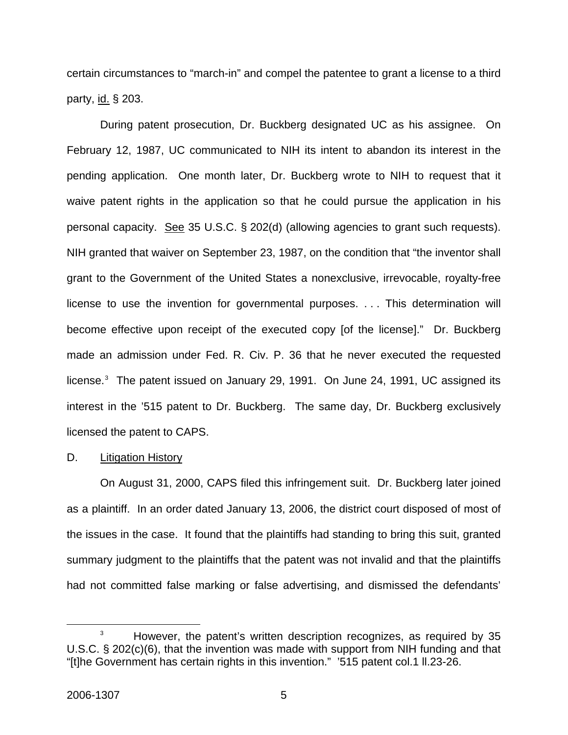certain circumstances to "march-in" and compel the patentee to grant a license to a third party, id. § 203.

During patent prosecution, Dr. Buckberg designated UC as his assignee. On February 12, 1987, UC communicated to NIH its intent to abandon its interest in the pending application. One month later, Dr. Buckberg wrote to NIH to request that it waive patent rights in the application so that he could pursue the application in his personal capacity. See 35 U.S.C. § 202(d) (allowing agencies to grant such requests). NIH granted that waiver on September 23, 1987, on the condition that "the inventor shall grant to the Government of the United States a nonexclusive, irrevocable, royalty-free license to use the invention for governmental purposes. . . . This determination will become effective upon receipt of the executed copy [of the license]." Dr. Buckberg made an admission under Fed. R. Civ. P. 36 that he never executed the requested license.<sup>[3](#page-5-0)</sup> The patent issued on January 29, 1991. On June 24, 1991, UC assigned its interest in the '515 patent to Dr. Buckberg. The same day, Dr. Buckberg exclusively licensed the patent to CAPS.

#### D. Litigation History

 On August 31, 2000, CAPS filed this infringement suit. Dr. Buckberg later joined as a plaintiff. In an order dated January 13, 2006, the district court disposed of most of the issues in the case. It found that the plaintiffs had standing to bring this suit, granted summary judgment to the plaintiffs that the patent was not invalid and that the plaintiffs had not committed false marking or false advertising, and dismissed the defendants'

<span id="page-5-0"></span> $\overline{\phantom{a}}$  3 <sup>3</sup> However, the patent's written description recognizes, as required by 35 U.S.C. § 202(c)(6), that the invention was made with support from NIH funding and that "[t]he Government has certain rights in this invention." '515 patent col.1 ll.23-26.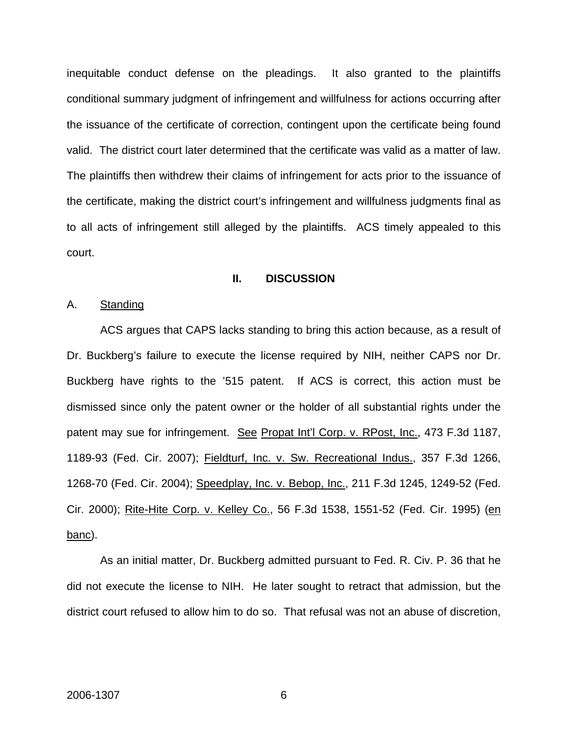inequitable conduct defense on the pleadings. It also granted to the plaintiffs conditional summary judgment of infringement and willfulness for actions occurring after the issuance of the certificate of correction, contingent upon the certificate being found valid. The district court later determined that the certificate was valid as a matter of law. The plaintiffs then withdrew their claims of infringement for acts prior to the issuance of the certificate, making the district court's infringement and willfulness judgments final as to all acts of infringement still alleged by the plaintiffs. ACS timely appealed to this court.

#### **II. DISCUSSION**

A. Standing

 ACS argues that CAPS lacks standing to bring this action because, as a result of Dr. Buckberg's failure to execute the license required by NIH, neither CAPS nor Dr. Buckberg have rights to the '515 patent. If ACS is correct, this action must be dismissed since only the patent owner or the holder of all substantial rights under the patent may sue for infringement. See Propat Int'l Corp. v. RPost, Inc., 473 F.3d 1187, 1189-93 (Fed. Cir. 2007); Fieldturf, Inc. v. Sw. Recreational Indus., 357 F.3d 1266, 1268-70 (Fed. Cir. 2004); Speedplay, Inc. v. Bebop, Inc., 211 F.3d 1245, 1249-52 (Fed. Cir. 2000); Rite-Hite Corp. v. Kelley Co., 56 F.3d 1538, 1551-52 (Fed. Cir. 1995) (en banc).

 As an initial matter, Dr. Buckberg admitted pursuant to Fed. R. Civ. P. 36 that he did not execute the license to NIH. He later sought to retract that admission, but the district court refused to allow him to do so. That refusal was not an abuse of discretion,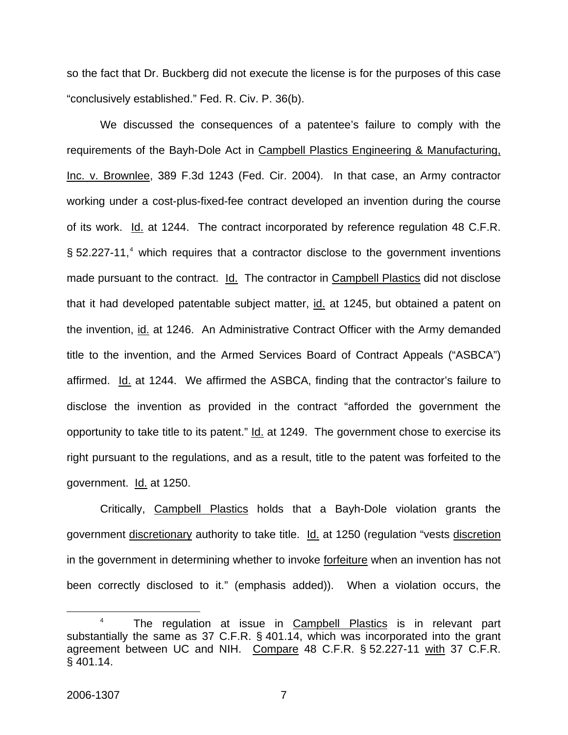so the fact that Dr. Buckberg did not execute the license is for the purposes of this case "conclusively established." Fed. R. Civ. P. 36(b).

 We discussed the consequences of a patentee's failure to comply with the requirements of the Bayh-Dole Act in Campbell Plastics Engineering & Manufacturing, Inc. v. Brownlee, 389 F.3d 1243 (Fed. Cir. 2004). In that case, an Army contractor working under a cost-plus-fixed-fee contract developed an invention during the course of its work. Id. at 1244. The contract incorporated by reference regulation 48 C.F.R. § 52.227-11,<sup>[4](#page-7-0)</sup> which requires that a contractor disclose to the government inventions made pursuant to the contract. Id. The contractor in Campbell Plastics did not disclose that it had developed patentable subject matter, id. at 1245, but obtained a patent on the invention, id. at 1246. An Administrative Contract Officer with the Army demanded title to the invention, and the Armed Services Board of Contract Appeals ("ASBCA") affirmed. Id. at 1244. We affirmed the ASBCA, finding that the contractor's failure to disclose the invention as provided in the contract "afforded the government the opportunity to take title to its patent." Id. at 1249. The government chose to exercise its right pursuant to the regulations, and as a result, title to the patent was forfeited to the government. Id. at 1250.

 Critically, Campbell Plastics holds that a Bayh-Dole violation grants the government discretionary authority to take title. Id. at 1250 (regulation "vests discretion in the government in determining whether to invoke forfeiture when an invention has not been correctly disclosed to it." (emphasis added)). When a violation occurs, the

<span id="page-7-0"></span> $\overline{a}$ <sup>4</sup> The regulation at issue in Campbell Plastics is in relevant part substantially the same as 37 C.F.R. § 401.14, which was incorporated into the grant agreement between UC and NIH. Compare 48 C.F.R. § 52.227-11 with 37 C.F.R. § 401.14.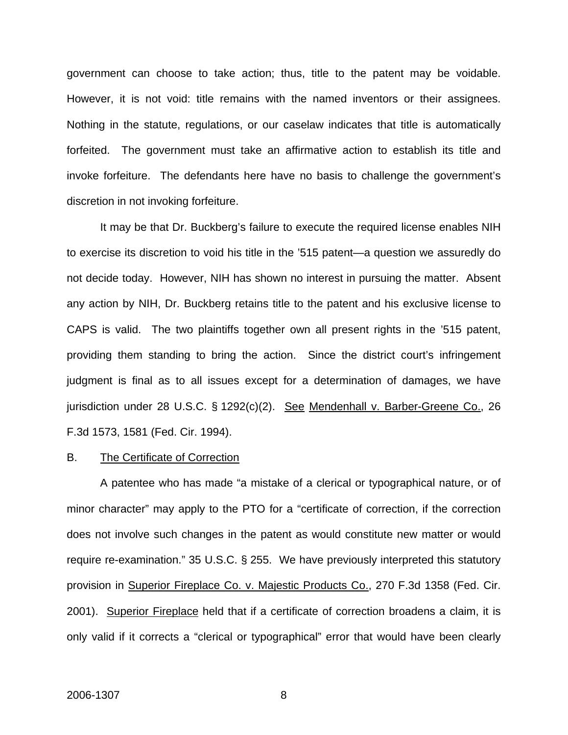government can choose to take action; thus, title to the patent may be voidable. However, it is not void: title remains with the named inventors or their assignees. Nothing in the statute, regulations, or our caselaw indicates that title is automatically forfeited. The government must take an affirmative action to establish its title and invoke forfeiture. The defendants here have no basis to challenge the government's discretion in not invoking forfeiture.

 It may be that Dr. Buckberg's failure to execute the required license enables NIH to exercise its discretion to void his title in the '515 patent—a question we assuredly do not decide today. However, NIH has shown no interest in pursuing the matter. Absent any action by NIH, Dr. Buckberg retains title to the patent and his exclusive license to CAPS is valid. The two plaintiffs together own all present rights in the '515 patent, providing them standing to bring the action. Since the district court's infringement judgment is final as to all issues except for a determination of damages, we have jurisdiction under 28 U.S.C. § 1292(c)(2). See Mendenhall v. Barber-Greene Co., 26 F.3d 1573, 1581 (Fed. Cir. 1994).

#### B. The Certificate of Correction

 A patentee who has made "a mistake of a clerical or typographical nature, or of minor character" may apply to the PTO for a "certificate of correction, if the correction does not involve such changes in the patent as would constitute new matter or would require re-examination." 35 U.S.C. § 255. We have previously interpreted this statutory provision in Superior Fireplace Co. v. Majestic Products Co., 270 F.3d 1358 (Fed. Cir. 2001). Superior Fireplace held that if a certificate of correction broadens a claim, it is only valid if it corrects a "clerical or typographical" error that would have been clearly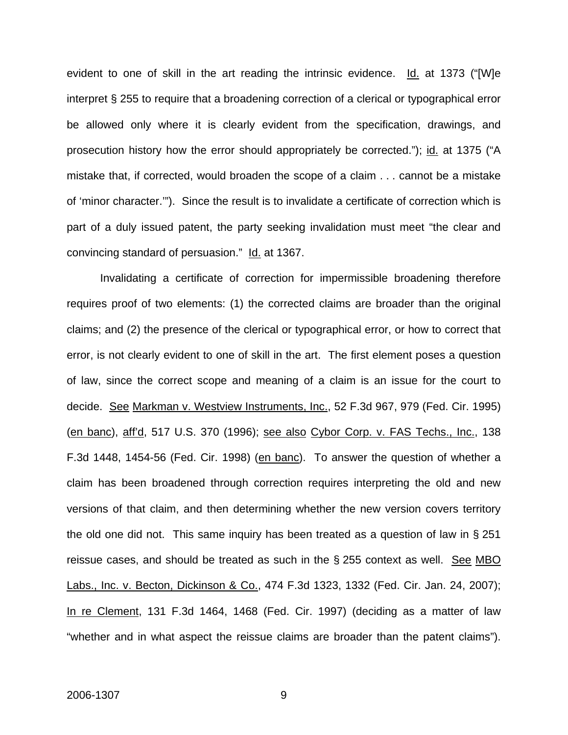evident to one of skill in the art reading the intrinsic evidence. Id. at 1373 ("[W]e interpret § 255 to require that a broadening correction of a clerical or typographical error be allowed only where it is clearly evident from the specification, drawings, and prosecution history how the error should appropriately be corrected."); id. at 1375 ("A mistake that, if corrected, would broaden the scope of a claim . . . cannot be a mistake of 'minor character.'"). Since the result is to invalidate a certificate of correction which is part of a duly issued patent, the party seeking invalidation must meet "the clear and convincing standard of persuasion." Id. at 1367.

 Invalidating a certificate of correction for impermissible broadening therefore requires proof of two elements: (1) the corrected claims are broader than the original claims; and (2) the presence of the clerical or typographical error, or how to correct that error, is not clearly evident to one of skill in the art. The first element poses a question of law, since the correct scope and meaning of a claim is an issue for the court to decide. See Markman v. Westview Instruments, Inc., 52 F.3d 967, 979 (Fed. Cir. 1995) (en banc), aff'd, 517 U.S. 370 (1996); see also Cybor Corp. v. FAS Techs., Inc., 138 F.3d 1448, 1454-56 (Fed. Cir. 1998) (en banc). To answer the question of whether a claim has been broadened through correction requires interpreting the old and new versions of that claim, and then determining whether the new version covers territory the old one did not. This same inquiry has been treated as a question of law in § 251 reissue cases, and should be treated as such in the  $\S$  255 context as well. See MBO Labs., Inc. v. Becton, Dickinson & Co., 474 F.3d 1323, 1332 (Fed. Cir. Jan. 24, 2007); In re Clement, 131 F.3d 1464, 1468 (Fed. Cir. 1997) (deciding as a matter of law "whether and in what aspect the reissue claims are broader than the patent claims").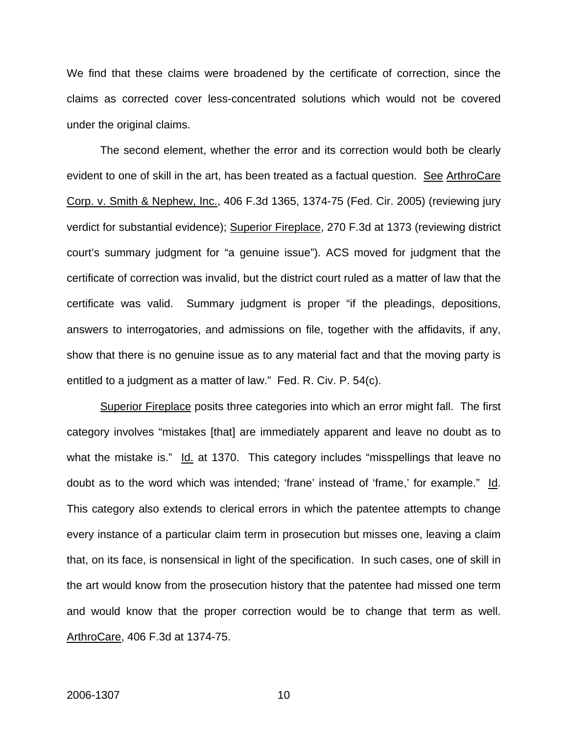We find that these claims were broadened by the certificate of correction, since the claims as corrected cover less-concentrated solutions which would not be covered under the original claims.

The second element, whether the error and its correction would both be clearly evident to one of skill in the art, has been treated as a factual question. See ArthroCare Corp. v. Smith & Nephew, Inc., 406 F.3d 1365, 1374-75 (Fed. Cir. 2005) (reviewing jury verdict for substantial evidence); Superior Fireplace, 270 F.3d at 1373 (reviewing district court's summary judgment for "a genuine issue"). ACS moved for judgment that the certificate of correction was invalid, but the district court ruled as a matter of law that the certificate was valid. Summary judgment is proper "if the pleadings, depositions, answers to interrogatories, and admissions on file, together with the affidavits, if any, show that there is no genuine issue as to any material fact and that the moving party is entitled to a judgment as a matter of law." Fed. R. Civ. P. 54(c).

Superior Fireplace posits three categories into which an error might fall. The first category involves "mistakes [that] are immediately apparent and leave no doubt as to what the mistake is." Id. at 1370. This category includes "misspellings that leave no doubt as to the word which was intended; 'frane' instead of 'frame,' for example." Id. This category also extends to clerical errors in which the patentee attempts to change every instance of a particular claim term in prosecution but misses one, leaving a claim that, on its face, is nonsensical in light of the specification. In such cases, one of skill in the art would know from the prosecution history that the patentee had missed one term and would know that the proper correction would be to change that term as well. ArthroCare, 406 F.3d at 1374-75.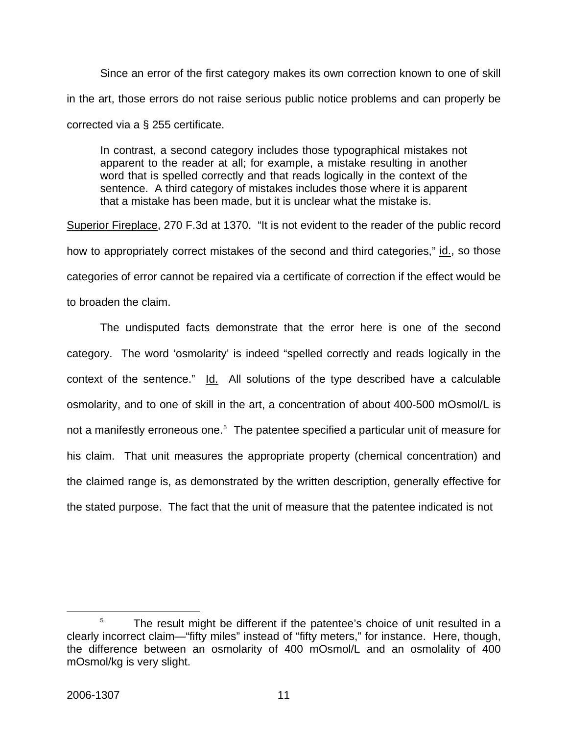Since an error of the first category makes its own correction known to one of skill in the art, those errors do not raise serious public notice problems and can properly be corrected via a § 255 certificate.

In contrast, a second category includes those typographical mistakes not apparent to the reader at all; for example, a mistake resulting in another word that is spelled correctly and that reads logically in the context of the sentence. A third category of mistakes includes those where it is apparent that a mistake has been made, but it is unclear what the mistake is.

Superior Fireplace, 270 F.3d at 1370. "It is not evident to the reader of the public record how to appropriately correct mistakes of the second and third categories," id., so those categories of error cannot be repaired via a certificate of correction if the effect would be to broaden the claim.

The undisputed facts demonstrate that the error here is one of the second category. The word 'osmolarity' is indeed "spelled correctly and reads logically in the context of the sentence." Id. All solutions of the type described have a calculable osmolarity, and to one of skill in the art, a concentration of about 400-500 mOsmol/L is not a manifestly erroneous one.<sup>[5](#page-11-0)</sup> The patentee specified a particular unit of measure for his claim. That unit measures the appropriate property (chemical concentration) and the claimed range is, as demonstrated by the written description, generally effective for the stated purpose. The fact that the unit of measure that the patentee indicated is not

<span id="page-11-0"></span> $\overline{\phantom{a}}$  $5$  The result might be different if the patentee's choice of unit resulted in a clearly incorrect claim—"fifty miles" instead of "fifty meters," for instance. Here, though, the difference between an osmolarity of 400 mOsmol/L and an osmolality of 400 mOsmol/kg is very slight.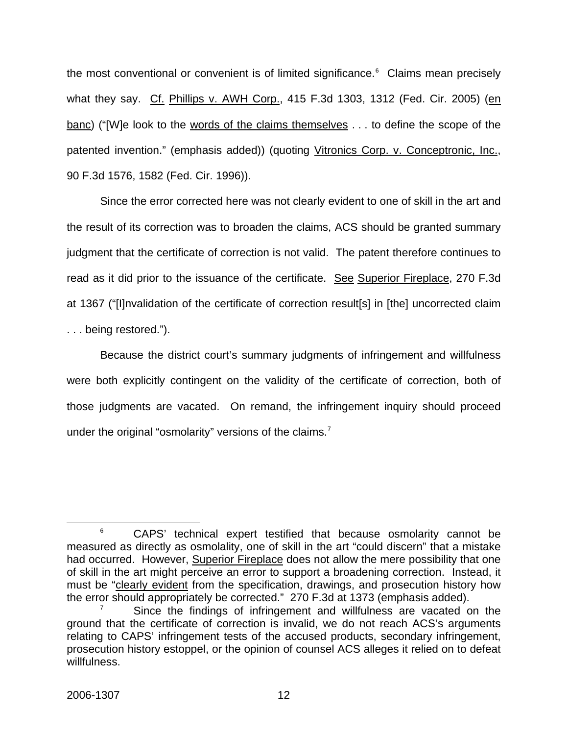the most conventional or convenient is of limited significance. $6$  Claims mean precisely what they say. Cf. Phillips v. AWH Corp., 415 F.3d 1303, 1312 (Fed. Cir. 2005) (en banc) ("[W]e look to the words of the claims themselves . . . to define the scope of the patented invention." (emphasis added)) (quoting Vitronics Corp. v. Conceptronic, Inc., 90 F.3d 1576, 1582 (Fed. Cir. 1996)).

Since the error corrected here was not clearly evident to one of skill in the art and the result of its correction was to broaden the claims, ACS should be granted summary judgment that the certificate of correction is not valid. The patent therefore continues to read as it did prior to the issuance of the certificate. See Superior Fireplace, 270 F.3d at 1367 ("[I]nvalidation of the certificate of correction result[s] in [the] uncorrected claim . . . being restored.").

 Because the district court's summary judgments of infringement and willfulness were both explicitly contingent on the validity of the certificate of correction, both of those judgments are vacated. On remand, the infringement inquiry should proceed under the original "osmolarity" versions of the claims.<sup>[7](#page-12-1)</sup>

<span id="page-12-0"></span> <sup>6</sup> <sup>6</sup> CAPS' technical expert testified that because osmolarity cannot be measured as directly as osmolality, one of skill in the art "could discern" that a mistake had occurred. However, Superior Fireplace does not allow the mere possibility that one of skill in the art might perceive an error to support a broadening correction. Instead, it must be "clearly evident from the specification, drawings, and prosecution history how the error should appropriately be corrected." 270 F.3d at 1373 (emphasis added). 7

<span id="page-12-1"></span>Since the findings of infringement and willfulness are vacated on the ground that the certificate of correction is invalid, we do not reach ACS's arguments relating to CAPS' infringement tests of the accused products, secondary infringement, prosecution history estoppel, or the opinion of counsel ACS alleges it relied on to defeat willfulness.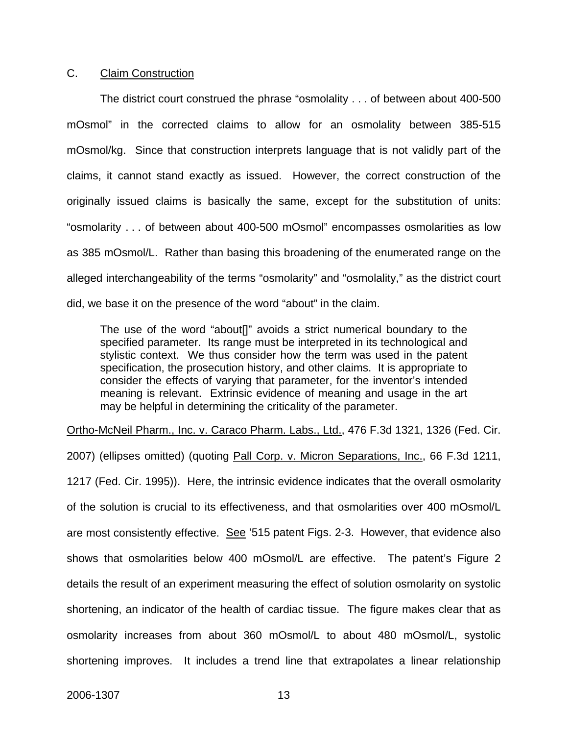## C. Claim Construction

 The district court construed the phrase "osmolality . . . of between about 400-500 mOsmol" in the corrected claims to allow for an osmolality between 385-515 mOsmol/kg. Since that construction interprets language that is not validly part of the claims, it cannot stand exactly as issued. However, the correct construction of the originally issued claims is basically the same, except for the substitution of units: "osmolarity . . . of between about 400-500 mOsmol" encompasses osmolarities as low as 385 mOsmol/L. Rather than basing this broadening of the enumerated range on the alleged interchangeability of the terms "osmolarity" and "osmolality," as the district court did, we base it on the presence of the word "about" in the claim.

The use of the word "about[]" avoids a strict numerical boundary to the specified parameter. Its range must be interpreted in its technological and stylistic context. We thus consider how the term was used in the patent specification, the prosecution history, and other claims. It is appropriate to consider the effects of varying that parameter, for the inventor's intended meaning is relevant. Extrinsic evidence of meaning and usage in the art may be helpful in determining the criticality of the parameter.

Ortho-McNeil Pharm., Inc. v. Caraco Pharm. Labs., Ltd., 476 F.3d 1321, 1326 (Fed. Cir.

2007) (ellipses omitted) (quoting Pall Corp. v. Micron Separations, Inc., 66 F.3d 1211, 1217 (Fed. Cir. 1995)). Here, the intrinsic evidence indicates that the overall osmolarity of the solution is crucial to its effectiveness, and that osmolarities over 400 mOsmol/L are most consistently effective. See '515 patent Figs. 2-3. However, that evidence also shows that osmolarities below 400 mOsmol/L are effective. The patent's Figure 2 details the result of an experiment measuring the effect of solution osmolarity on systolic shortening, an indicator of the health of cardiac tissue. The figure makes clear that as osmolarity increases from about 360 mOsmol/L to about 480 mOsmol/L, systolic shortening improves. It includes a trend line that extrapolates a linear relationship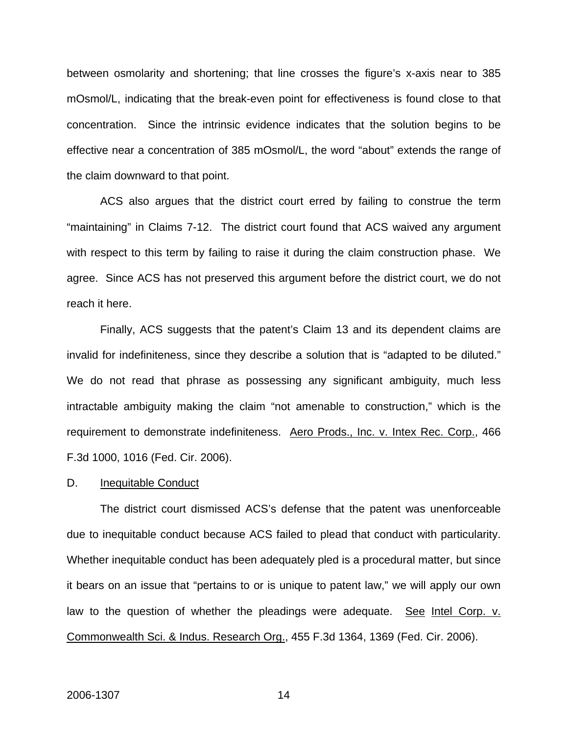between osmolarity and shortening; that line crosses the figure's x-axis near to 385 mOsmol/L, indicating that the break-even point for effectiveness is found close to that concentration. Since the intrinsic evidence indicates that the solution begins to be effective near a concentration of 385 mOsmol/L, the word "about" extends the range of the claim downward to that point.

 ACS also argues that the district court erred by failing to construe the term "maintaining" in Claims 7-12. The district court found that ACS waived any argument with respect to this term by failing to raise it during the claim construction phase. We agree. Since ACS has not preserved this argument before the district court, we do not reach it here.

 Finally, ACS suggests that the patent's Claim 13 and its dependent claims are invalid for indefiniteness, since they describe a solution that is "adapted to be diluted." We do not read that phrase as possessing any significant ambiguity, much less intractable ambiguity making the claim "not amenable to construction," which is the requirement to demonstrate indefiniteness. Aero Prods., Inc. v. Intex Rec. Corp., 466 F.3d 1000, 1016 (Fed. Cir. 2006).

#### D. Inequitable Conduct

 The district court dismissed ACS's defense that the patent was unenforceable due to inequitable conduct because ACS failed to plead that conduct with particularity. Whether inequitable conduct has been adequately pled is a procedural matter, but since it bears on an issue that "pertains to or is unique to patent law," we will apply our own law to the question of whether the pleadings were adequate. See Intel Corp. v. Commonwealth Sci. & Indus. Research Org., 455 F.3d 1364, 1369 (Fed. Cir. 2006).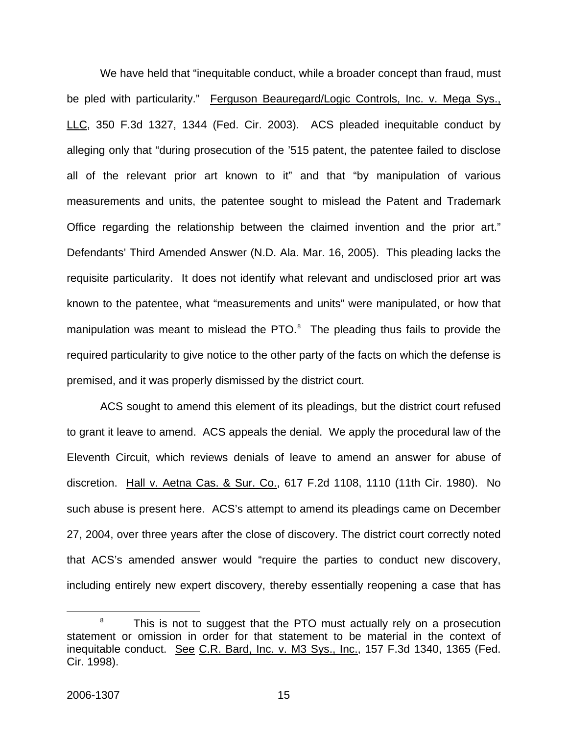We have held that "inequitable conduct, while a broader concept than fraud, must be pled with particularity." Ferguson Beauregard/Logic Controls, Inc. v. Mega Sys., LLC, 350 F.3d 1327, 1344 (Fed. Cir. 2003). ACS pleaded inequitable conduct by alleging only that "during prosecution of the '515 patent, the patentee failed to disclose all of the relevant prior art known to it" and that "by manipulation of various measurements and units, the patentee sought to mislead the Patent and Trademark Office regarding the relationship between the claimed invention and the prior art." Defendants' Third Amended Answer (N.D. Ala. Mar. 16, 2005). This pleading lacks the requisite particularity. It does not identify what relevant and undisclosed prior art was known to the patentee, what "measurements and units" were manipulated, or how that manipulation was meant to mislead the PTO. $^8$  $^8$  The pleading thus fails to provide the required particularity to give notice to the other party of the facts on which the defense is premised, and it was properly dismissed by the district court.

 ACS sought to amend this element of its pleadings, but the district court refused to grant it leave to amend. ACS appeals the denial. We apply the procedural law of the Eleventh Circuit, which reviews denials of leave to amend an answer for abuse of discretion. Hall v. Aetna Cas. & Sur. Co., 617 F.2d 1108, 1110 (11th Cir. 1980). No such abuse is present here. ACS's attempt to amend its pleadings came on December 27, 2004, over three years after the close of discovery. The district court correctly noted that ACS's amended answer would "require the parties to conduct new discovery, including entirely new expert discovery, thereby essentially reopening a case that has

<span id="page-15-0"></span> <sup>8</sup>  $8$  This is not to suggest that the PTO must actually rely on a prosecution statement or omission in order for that statement to be material in the context of inequitable conduct. See C.R. Bard, Inc. v. M3 Sys., Inc., 157 F.3d 1340, 1365 (Fed. Cir. 1998).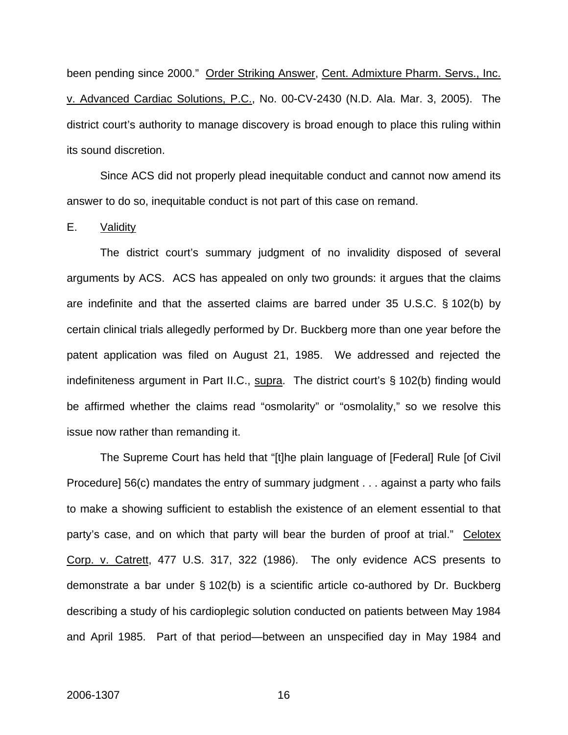been pending since 2000." Order Striking Answer, Cent. Admixture Pharm. Servs., Inc. v. Advanced Cardiac Solutions, P.C., No. 00-CV-2430 (N.D. Ala. Mar. 3, 2005). The district court's authority to manage discovery is broad enough to place this ruling within its sound discretion.

 Since ACS did not properly plead inequitable conduct and cannot now amend its answer to do so, inequitable conduct is not part of this case on remand.

E. Validity

 The district court's summary judgment of no invalidity disposed of several arguments by ACS. ACS has appealed on only two grounds: it argues that the claims are indefinite and that the asserted claims are barred under 35 U.S.C. § 102(b) by certain clinical trials allegedly performed by Dr. Buckberg more than one year before the patent application was filed on August 21, 1985. We addressed and rejected the indefiniteness argument in Part II.C., supra. The district court's § 102(b) finding would be affirmed whether the claims read "osmolarity" or "osmolality," so we resolve this issue now rather than remanding it.

 The Supreme Court has held that "[t]he plain language of [Federal] Rule [of Civil Procedure] 56(c) mandates the entry of summary judgment . . . against a party who fails to make a showing sufficient to establish the existence of an element essential to that party's case, and on which that party will bear the burden of proof at trial." Celotex Corp. v. Catrett, 477 U.S. 317, 322 (1986). The only evidence ACS presents to demonstrate a bar under § 102(b) is a scientific article co-authored by Dr. Buckberg describing a study of his cardioplegic solution conducted on patients between May 1984 and April 1985. Part of that period—between an unspecified day in May 1984 and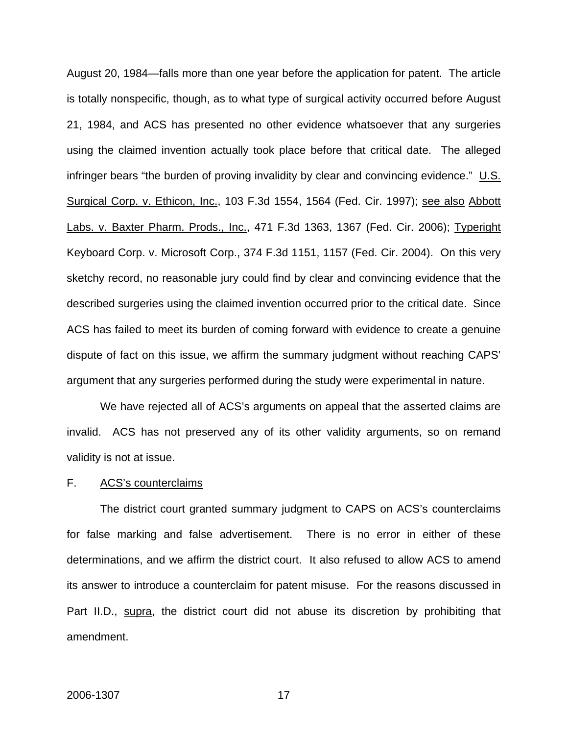August 20, 1984—falls more than one year before the application for patent. The article is totally nonspecific, though, as to what type of surgical activity occurred before August 21, 1984, and ACS has presented no other evidence whatsoever that any surgeries using the claimed invention actually took place before that critical date. The alleged infringer bears "the burden of proving invalidity by clear and convincing evidence." U.S. Surgical Corp. v. Ethicon, Inc., 103 F.3d 1554, 1564 (Fed. Cir. 1997); see also Abbott Labs. v. Baxter Pharm. Prods., Inc., 471 F.3d 1363, 1367 (Fed. Cir. 2006); Typeright Keyboard Corp. v. Microsoft Corp., 374 F.3d 1151, 1157 (Fed. Cir. 2004). On this very sketchy record, no reasonable jury could find by clear and convincing evidence that the described surgeries using the claimed invention occurred prior to the critical date. Since ACS has failed to meet its burden of coming forward with evidence to create a genuine dispute of fact on this issue, we affirm the summary judgment without reaching CAPS' argument that any surgeries performed during the study were experimental in nature.

 We have rejected all of ACS's arguments on appeal that the asserted claims are invalid. ACS has not preserved any of its other validity arguments, so on remand validity is not at issue.

#### F. ACS's counterclaims

 The district court granted summary judgment to CAPS on ACS's counterclaims for false marking and false advertisement. There is no error in either of these determinations, and we affirm the district court. It also refused to allow ACS to amend its answer to introduce a counterclaim for patent misuse. For the reasons discussed in Part II.D., supra, the district court did not abuse its discretion by prohibiting that amendment.